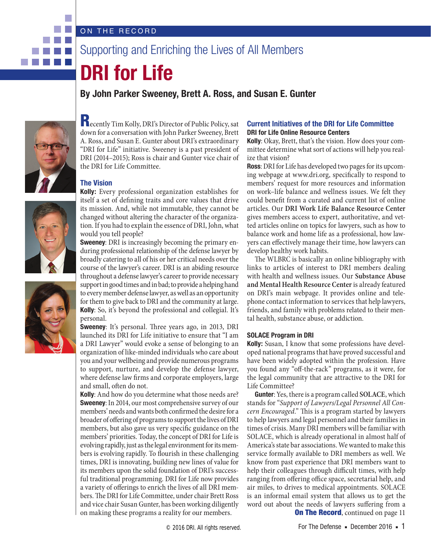### ON THE RECORD

# Supporting and Enriching the Lives of All Members

# **DRI for Life**

## **By John Parker Sweeney, Brett A. Ross, and Susan E. Gunter**



<u>ra Filman a</u> 

> Recently Tim Kolly, DRI's Director of Public Policy, sat down for a conversation with John Parker Sweeney, Brett A. Ross, and Susan E. Gunter about DRI's extraordinary "DRI for Life" initiative. Sweeney is a past president of DRI (2014–2015); Ross is chair and Gunter vice chair of the DRI for Life Committee.

#### **The Vision**

**Kolly:** Every professional organization establishes for itself a set of defining traits and core values that drive its mission. And, while not immutable, they cannot be changed without altering the character of the organization. If you had to explain the essence of DRI, John, what would you tell people?

**Sweeney**: DRI is increasingly becoming the primary enduring professional relationship of the defense lawyer by broadly catering to all of his or her critical needs over the course of the lawyer's career. DRI is an abiding resource throughout a defense lawyer's career to provide necessary support in good times and in bad; to provide a helping hand to every member defense lawyer, as well as an opportunity for them to give back to DRI and the community at large. **Kolly**: So, it's beyond the professional and collegial. It's personal.

**Sweeney**: It's personal. Three years ago, in 2013, DRI launched its DRI for Life initiative to ensure that "I am a DRI Lawyer" would evoke a sense of belonging to an organization of like-minded individuals who care about you and your wellbeing and provide numerous programs to support, nurture, and develop the defense lawyer, where defense law firms and corporate employers, large and small, often do not.

**Kolly**: And how do you determine what those needs are? **Sweeney**: In 2014, our most comprehensive survey of our members' needs and wants both confirmed the desire for a broader of offering of programs to support the lives of DRI members, but also gave us very specific guidance on the members' priorities. Today, the concept of DRI for Life is evolving rapidly, just as the legal environment for its members is evolving rapidly. To flourish in these challenging times, DRI is innovating, building new lines of value for its members upon the solid foundation of DRI's successful traditional programming. DRI for Life now provides a variety of offerings to enrich the lives of all DRI members. The DRI for Life Committee, under chair Brett Ross and vice chair Susan Gunter, has been working diligently on making these programs a reality for our members.

#### **Current Initiatives of the DRI for Life Committee DRI for Life Online Resource Centers**

**Kolly**: Okay, Brett, that's the vision. How does your committee determine what sort of actions will help you realize that vision?

**Ross**: DRI for Life has developed two pages for its upcoming webpage at www.dri.org, specifically to respond to members' request for more resources and information on work–life balance and wellness issues. We felt they could benefit from a curated and current list of online articles. Our **DRI Work Life Balance Resource Center** gives members access to expert, authoritative, and vetted articles online on topics for lawyers, such as how to balance work and home life as a professional, how lawyers can effectively manage their time, how lawyers can develop healthy work habits.

The WLBRC is basically an online bibliography with links to articles of interest to DRI members dealing with health and wellness issues. Our **Substance Abuse and Mental Health Resource Center**is already featured on DRI's main webpage. It provides online and telephone contact information to services that help lawyers, friends, and family with problems related to their mental health, substance abuse, or addiction.

#### **SOLACE Program in DRI**

**Kolly:** Susan, I know that some professions have developed national programs that have proved successful and have been widely adopted within the profession. Have you found any "off-the-rack" programs, as it were, for the legal community that are attractive to the DRI for Life Committee?

**On The Record, continued on page 11 Gunter**: Yes, there is a program called **SOLACE**, which stands for "*Support of Lawyers/Legal Personnel All Concern Encouraged*." This is a program started by lawyers to help lawyers and legal personnel and their families in times of crisis. Many DRI members will be familiar with SOLACE, which is already operational in almost half of America's state bar associations. We wanted to make this service formally available to DRI members as well. We know from past experience that DRI members want to help their colleagues through difficult times, with help ranging from offering office space, secretarial help, and air miles, to drives to medical appointments. SOLACE is an informal email system that allows us to get the word out about the needs of lawyers suffering from a